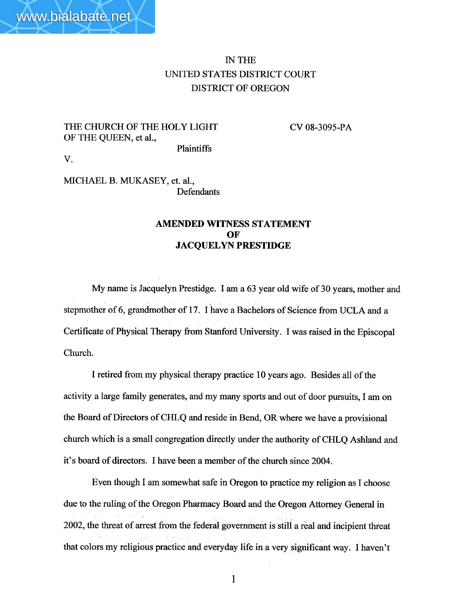## IN THE UNITED STATES DISTRICT COURT DISTRICT OF OREGON

THE CHURCH OF THE HOLY LIGHT OF THE QUEEN, et aI.,

CV 08-3095-PA

Plaintiffs

V.

MICHAEL B. MUKASEY, et. aI., **Defendants** 

## AMENDED WITNESS STATEMENT OF JACQUELYN PRESTIDGE

My name is Jacquelyn Prestidge. I am a 63 year old wife of 30 years, mother and stepmother of 6, grandmother of 17. I have a Bachelors of Science from UCLA and a. Certificate of Physical Therapy from Stanford University. I was raised in the Episcopal Church.

I retired from my physical therapy practice 10 years ago. Besides all of the activity a large family generates, and my many sports and out of door pursuits, I am on the Board of Directors of CHLQ and reside in Bend, OR where we have a provisional church which is a small congregation directly under the authority of CHLQ Ashland and it's board of directors. I have been a member of the church since 2004.

Even though I am somewhat safe in Oregon to practice my religion as I choose due to the ruling of the Oregon Pharmacy Board and the Oregon Attorney General in 2002, the threat of arrest from the federal government is still a real and incipient threat that colors my religious practice and everyday life in a very significant way. I haven't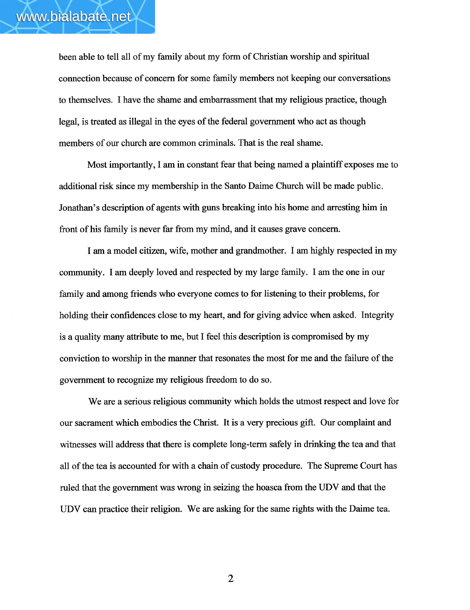been able to tell all of my family about my form of Christian worship and spiritual connection because of concern for some family members not keeping our conversations to themselves. I have the shame and embarrassment that my religious practice, though legal, is treated as illegal in the eyes of the federal government who act as though members of our church are common criminals. That is the real shame.

Most importantly, I am in constant fear that being named a plaintiff exposes me to additional risk since my membership in the Santo Daime Church wil be made public. Jonathan's description of agents with guns breakng into his home and aresting him in front of his family is never far from my mind, and it causes grave concern.

I am a model citizen, wife, mother and grandmother. I am highly respected in my community. I am deeply loved and respected by my large famly. I am the one in our family and among friends who everyone comes to for listening to their problems, for holding their confidences close to my heart, and for giving advice when asked. Integrity is a quality many attribute to me, but I feel this description is compromised by my conviction to worship in the maner that resonates the most for me and the failure of the governent to recognize my religious freedom to do so.

We are a serious religious community which holds the utmost respect and love for our sacrament which embodies the Christ. It is a very precious gift. Our complaint and witnesses will address that there is complete long-term safely in drinking the tea and that all of the tea is accounted for with a chain of custody procedure. The Supreme Cour has ruled that the government was wrong in seizing the hoasca from the UDV and that the UDV can practice their religion. We are asking for the same rights with the Daime tea.

2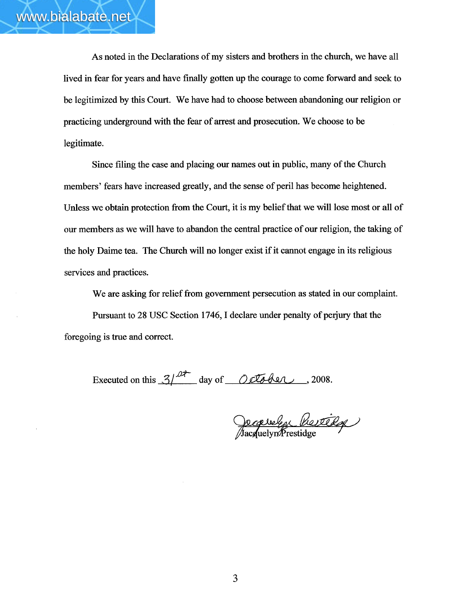As noted in the Declarations of my sisters and brothers in the church, we have all lived in fear for years and have finally gotten up the courage to come forward and seek to be legitimized by this Cour. We have had to choose between abandoning our religion or practicing underground with the fear of arest and prosecution. We choose to be legitimate.

Since filing the case and placing our names out in public, many of the Church members' fears have increased greatly, and the sense of peril has become heightened. Unless we obtain protection from the Cour, it is my belief that we will lose most or all of our members as we will have to abandon the central practice of our religion, the taking of the holy Daime tea. The Church will no longer exist if it cannot engage in its religious services and practices.

We are asking for relief from government persecution as stated in our complaint. Pursuant to 28 USC Section 1746, I declare under penalty of perjury that the foregoing is true and correct.

Executed on this  $3/27$  day of October , 2008.

<u>Jacquelyn Revilley</u>